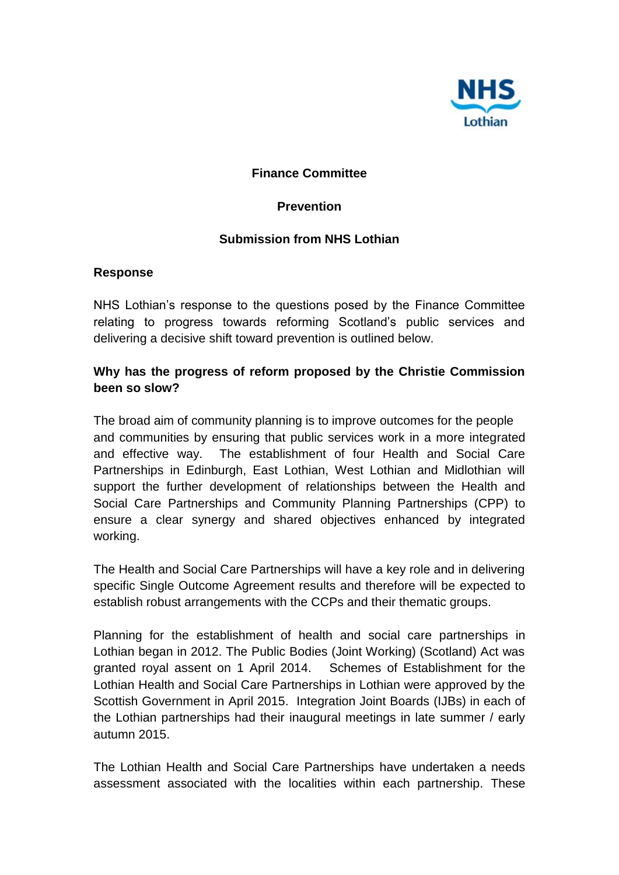

## **Finance Committee**

#### **Prevention**

### **Submission from NHS Lothian**

#### **Response**

NHS Lothian's response to the questions posed by the Finance Committee relating to progress towards reforming Scotland's public services and delivering a decisive shift toward prevention is outlined below.

## **Why has the progress of reform proposed by the Christie Commission been so slow?**

The broad aim of community planning is to improve outcomes for the people and communities by ensuring that public services work in a more integrated and effective way. The establishment of four Health and Social Care Partnerships in Edinburgh, East Lothian, West Lothian and Midlothian will support the further development of relationships between the Health and Social Care Partnerships and Community Planning Partnerships (CPP) to ensure a clear synergy and shared objectives enhanced by integrated working.

The Health and Social Care Partnerships will have a key role and in delivering specific Single Outcome Agreement results and therefore will be expected to establish robust arrangements with the CCPs and their thematic groups.

Planning for the establishment of health and social care partnerships in Lothian began in 2012. The Public Bodies (Joint Working) (Scotland) Act was granted royal assent on 1 April 2014. Schemes of Establishment for the Lothian Health and Social Care Partnerships in Lothian were approved by the Scottish Government in April 2015. Integration Joint Boards (IJBs) in each of the Lothian partnerships had their inaugural meetings in late summer / early autumn 2015.

The Lothian Health and Social Care Partnerships have undertaken a needs assessment associated with the localities within each partnership. These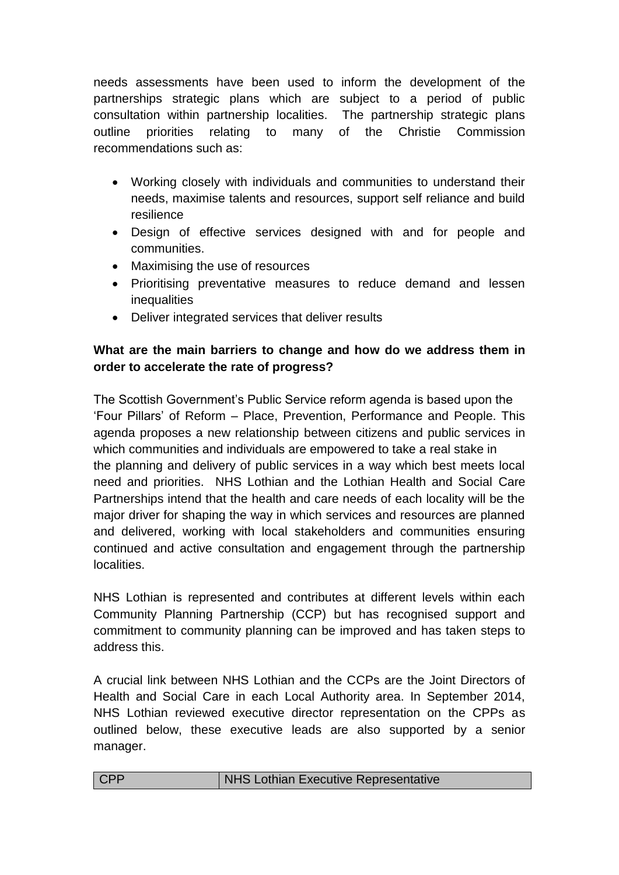needs assessments have been used to inform the development of the partnerships strategic plans which are subject to a period of public consultation within partnership localities. The partnership strategic plans outline priorities relating to many of the Christie Commission recommendations such as:

- Working closely with individuals and communities to understand their needs, maximise talents and resources, support self reliance and build resilience
- Design of effective services designed with and for people and communities.
- Maximising the use of resources
- Prioritising preventative measures to reduce demand and lessen inequalities
- Deliver integrated services that deliver results

# **What are the main barriers to change and how do we address them in order to accelerate the rate of progress?**

The Scottish Government's Public Service reform agenda is based upon the 'Four Pillars' of Reform – Place, Prevention, Performance and People. This agenda proposes a new relationship between citizens and public services in which communities and individuals are empowered to take a real stake in the planning and delivery of public services in a way which best meets local need and priorities. NHS Lothian and the Lothian Health and Social Care Partnerships intend that the health and care needs of each locality will be the major driver for shaping the way in which services and resources are planned and delivered, working with local stakeholders and communities ensuring continued and active consultation and engagement through the partnership localities.

NHS Lothian is represented and contributes at different levels within each Community Planning Partnership (CCP) but has recognised support and commitment to community planning can be improved and has taken steps to address this.

A crucial link between NHS Lothian and the CCPs are the Joint Directors of Health and Social Care in each Local Authority area. In September 2014, NHS Lothian reviewed executive director representation on the CPPs as outlined below, these executive leads are also supported by a senior manager.

| CPP | NHS Lothian Executive Representative |
|-----|--------------------------------------|
|-----|--------------------------------------|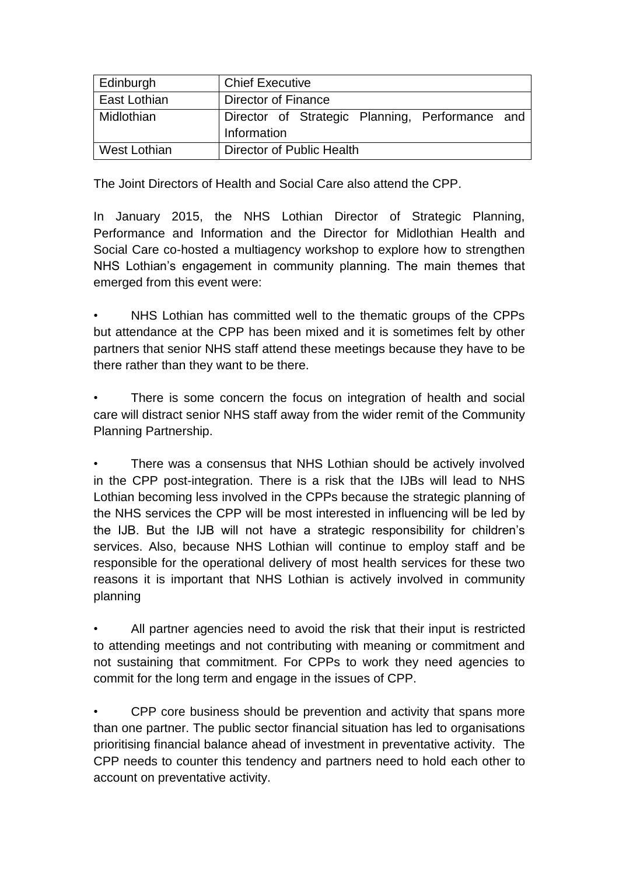| Edinburgh    | <b>Chief Executive</b>                          |
|--------------|-------------------------------------------------|
| East Lothian | Director of Finance                             |
| Midlothian   | Director of Strategic Planning, Performance and |
|              | Information                                     |
| West Lothian | Director of Public Health                       |

The Joint Directors of Health and Social Care also attend the CPP.

In January 2015, the NHS Lothian Director of Strategic Planning, Performance and Information and the Director for Midlothian Health and Social Care co-hosted a multiagency workshop to explore how to strengthen NHS Lothian's engagement in community planning. The main themes that emerged from this event were:

• NHS Lothian has committed well to the thematic groups of the CPPs but attendance at the CPP has been mixed and it is sometimes felt by other partners that senior NHS staff attend these meetings because they have to be there rather than they want to be there.

There is some concern the focus on integration of health and social care will distract senior NHS staff away from the wider remit of the Community Planning Partnership.

There was a consensus that NHS Lothian should be actively involved in the CPP post-integration. There is a risk that the IJBs will lead to NHS Lothian becoming less involved in the CPPs because the strategic planning of the NHS services the CPP will be most interested in influencing will be led by the IJB. But the IJB will not have a strategic responsibility for children's services. Also, because NHS Lothian will continue to employ staff and be responsible for the operational delivery of most health services for these two reasons it is important that NHS Lothian is actively involved in community planning

All partner agencies need to avoid the risk that their input is restricted to attending meetings and not contributing with meaning or commitment and not sustaining that commitment. For CPPs to work they need agencies to commit for the long term and engage in the issues of CPP.

• CPP core business should be prevention and activity that spans more than one partner. The public sector financial situation has led to organisations prioritising financial balance ahead of investment in preventative activity. The CPP needs to counter this tendency and partners need to hold each other to account on preventative activity.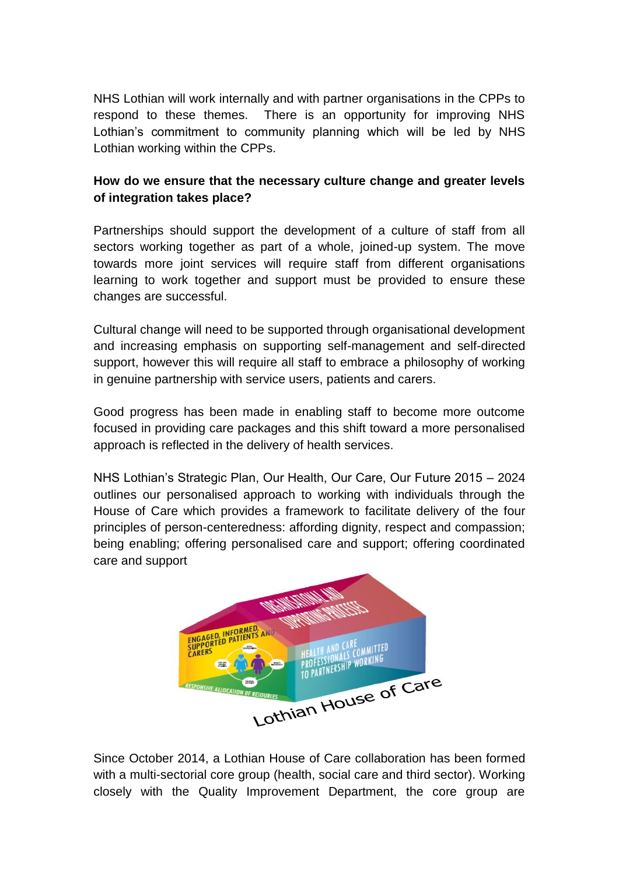NHS Lothian will work internally and with partner organisations in the CPPs to respond to these themes. There is an opportunity for improving NHS Lothian's commitment to community planning which will be led by NHS Lothian working within the CPPs.

## **How do we ensure that the necessary culture change and greater levels of integration takes place?**

Partnerships should support the development of a culture of staff from all sectors working together as part of a whole, joined-up system. The move towards more joint services will require staff from different organisations learning to work together and support must be provided to ensure these changes are successful.

Cultural change will need to be supported through organisational development and increasing emphasis on supporting self-management and self-directed support, however this will require all staff to embrace a philosophy of working in genuine partnership with service users, patients and carers.

Good progress has been made in enabling staff to become more outcome focused in providing care packages and this shift toward a more personalised approach is reflected in the delivery of health services.

NHS Lothian's Strategic Plan, Our Health, Our Care, Our Future 2015 – 2024 outlines our personalised approach to working with individuals through the House of Care which provides a framework to facilitate delivery of the four principles of person-centeredness: affording dignity, respect and compassion; being enabling; offering personalised care and support; offering coordinated care and support



Since October 2014, a Lothian House of Care collaboration has been formed with a multi-sectorial core group (health, social care and third sector). Working closely with the Quality Improvement Department, the core group are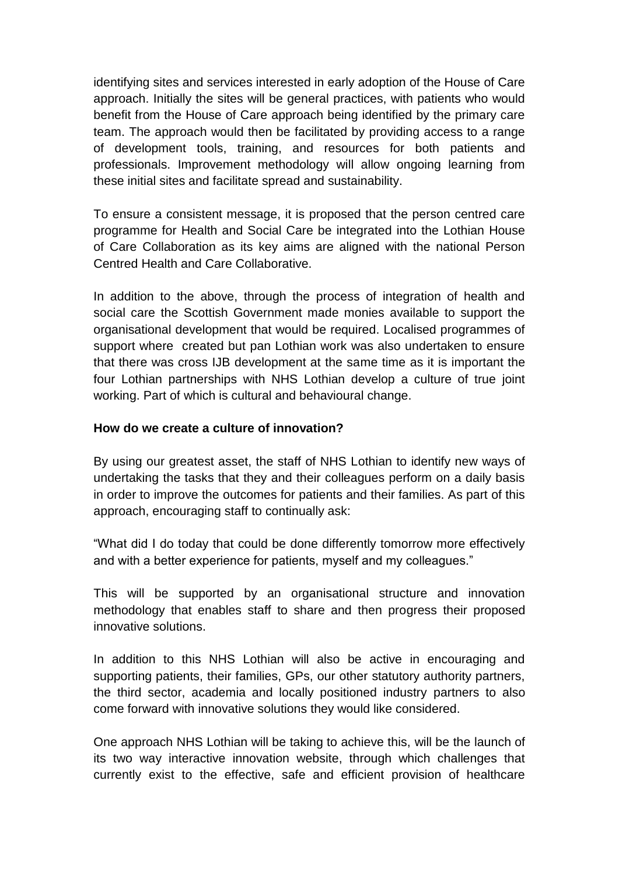identifying sites and services interested in early adoption of the House of Care approach. Initially the sites will be general practices, with patients who would benefit from the House of Care approach being identified by the primary care team. The approach would then be facilitated by providing access to a range of development tools, training, and resources for both patients and professionals. Improvement methodology will allow ongoing learning from these initial sites and facilitate spread and sustainability.

To ensure a consistent message, it is proposed that the person centred care programme for Health and Social Care be integrated into the Lothian House of Care Collaboration as its key aims are aligned with the national Person Centred Health and Care Collaborative.

In addition to the above, through the process of integration of health and social care the Scottish Government made monies available to support the organisational development that would be required. Localised programmes of support where created but pan Lothian work was also undertaken to ensure that there was cross IJB development at the same time as it is important the four Lothian partnerships with NHS Lothian develop a culture of true joint working. Part of which is cultural and behavioural change.

### **How do we create a culture of innovation?**

By using our greatest asset, the staff of NHS Lothian to identify new ways of undertaking the tasks that they and their colleagues perform on a daily basis in order to improve the outcomes for patients and their families. As part of this approach, encouraging staff to continually ask:

"What did I do today that could be done differently tomorrow more effectively and with a better experience for patients, myself and my colleagues."

This will be supported by an organisational structure and innovation methodology that enables staff to share and then progress their proposed innovative solutions.

In addition to this NHS Lothian will also be active in encouraging and supporting patients, their families, GPs, our other statutory authority partners, the third sector, academia and locally positioned industry partners to also come forward with innovative solutions they would like considered.

One approach NHS Lothian will be taking to achieve this, will be the launch of its two way interactive innovation website, through which challenges that currently exist to the effective, safe and efficient provision of healthcare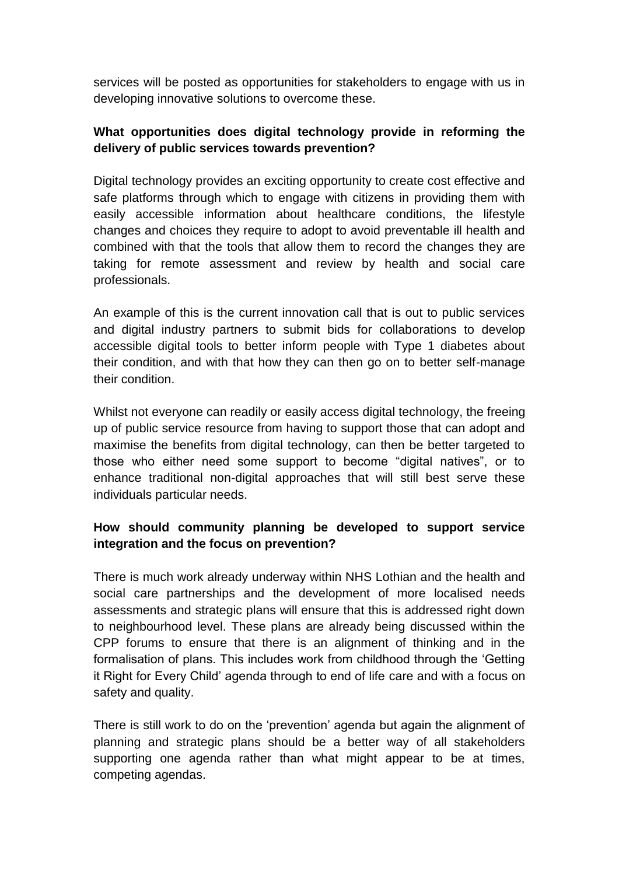services will be posted as opportunities for stakeholders to engage with us in developing innovative solutions to overcome these.

# **What opportunities does digital technology provide in reforming the delivery of public services towards prevention?**

Digital technology provides an exciting opportunity to create cost effective and safe platforms through which to engage with citizens in providing them with easily accessible information about healthcare conditions, the lifestyle changes and choices they require to adopt to avoid preventable ill health and combined with that the tools that allow them to record the changes they are taking for remote assessment and review by health and social care professionals.

An example of this is the current innovation call that is out to public services and digital industry partners to submit bids for collaborations to develop accessible digital tools to better inform people with Type 1 diabetes about their condition, and with that how they can then go on to better self-manage their condition.

Whilst not everyone can readily or easily access digital technology, the freeing up of public service resource from having to support those that can adopt and maximise the benefits from digital technology, can then be better targeted to those who either need some support to become "digital natives", or to enhance traditional non-digital approaches that will still best serve these individuals particular needs.

# **How should community planning be developed to support service integration and the focus on prevention?**

There is much work already underway within NHS Lothian and the health and social care partnerships and the development of more localised needs assessments and strategic plans will ensure that this is addressed right down to neighbourhood level. These plans are already being discussed within the CPP forums to ensure that there is an alignment of thinking and in the formalisation of plans. This includes work from childhood through the 'Getting it Right for Every Child' agenda through to end of life care and with a focus on safety and quality.

There is still work to do on the 'prevention' agenda but again the alignment of planning and strategic plans should be a better way of all stakeholders supporting one agenda rather than what might appear to be at times, competing agendas.